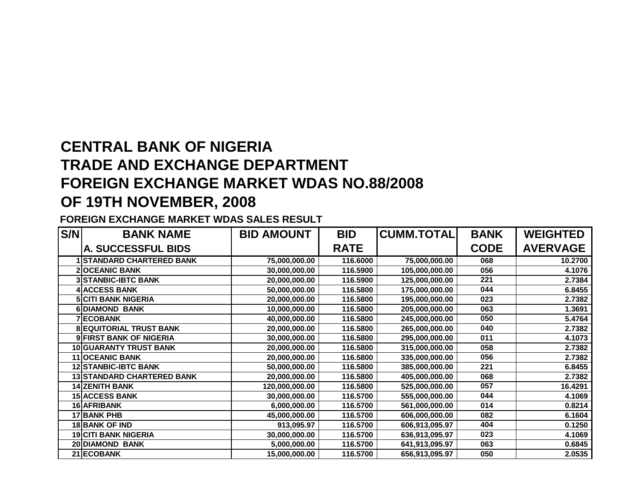## **CENTRAL BANK OF NIGERIA TRADE AND EXCHANGE DEPARTMENT FOREIGN EXCHANGE MARKET WDAS NO.88/2008OF 19TH NOVEMBER, 2008**

## **FOREIGN EXCHANGE MARKET WDAS SALES RESULT**

| S/N | <b>BANK NAME</b>                  | <b>BID AMOUNT</b> | <b>BID</b>  | <b>CUMM.TOTAL</b> | <b>BANK</b> | <b>WEIGHTED</b> |
|-----|-----------------------------------|-------------------|-------------|-------------------|-------------|-----------------|
|     | A. SUCCESSFUL BIDS                |                   | <b>RATE</b> |                   | <b>CODE</b> | <b>AVERVAGE</b> |
|     | <b>STANDARD CHARTERED BANK</b>    | 75,000,000.00     | 116.6000    | 75,000,000.00     | 068         | 10.2700         |
|     | <b>OCEANIC BANK</b>               | 30,000,000.00     | 116.5900    | 105,000,000.00    | 056         | 4.1076          |
|     | <b>3 STANBIC-IBTC BANK</b>        | 20,000,000.00     | 116.5900    | 125,000,000.00    | 221         | 2.7384          |
|     | <b>ACCESS BANK</b>                | 50,000,000.00     | 116.5800    | 175,000,000.00    | 044         | 6.8455          |
|     | <b>5 CITI BANK NIGERIA</b>        | 20,000,000.00     | 116.5800    | 195,000,000.00    | 023         | 2.7382          |
|     | <b>DIAMOND BANK</b>               | 10,000,000.00     | 116.5800    | 205,000,000.00    | 063         | 1.3691          |
|     | <b>ECOBANK</b>                    | 40,000,000.00     | 116.5800    | 245,000,000.00    | 050         | 5.4764          |
| 8   | <b>EQUITORIAL TRUST BANK</b>      | 20,000,000.00     | 116.5800    | 265,000,000.00    | 040         | 2.7382          |
|     | <b>FIRST BANK OF NIGERIA</b>      | 30,000,000.00     | 116.5800    | 295,000,000.00    | 011         | 4.1073          |
|     | 10 GUARANTY TRUST BANK            | 20,000,000.00     | 116,5800    | 315,000,000.00    | 058         | 2.7382          |
|     | 11 OCEANIC BANK                   | 20,000,000.00     | 116.5800    | 335,000,000.00    | 056         | 2.7382          |
|     | <b>12 STANBIC-IBTC BANK</b>       | 50,000,000.00     | 116.5800    | 385,000,000.00    | 221         | 6.8455          |
|     | <b>13 STANDARD CHARTERED BANK</b> | 20,000,000.00     | 116.5800    | 405,000,000.00    | 068         | 2.7382          |
|     | <b>14 ZENITH BANK</b>             | 120,000,000.00    | 116.5800    | 525,000,000.00    | 057         | 16.4291         |
|     | <b>15 ACCESS BANK</b>             | 30,000,000.00     | 116.5700    | 555,000,000.00    | 044         | 4.1069          |
|     | 16 AFRIBANK                       | 6,000,000.00      | 116.5700    | 561,000,000.00    | 014         | 0.8214          |
|     | 17 BANK PHB                       | 45,000,000.00     | 116.5700    | 606,000,000.00    | 082         | 6.1604          |
|     | <b>18 BANK OF IND</b>             | 913,095.97        | 116.5700    | 606,913,095.97    | 404         | 0.1250          |
|     | <b>19 CITI BANK NIGERIA</b>       | 30,000,000.00     | 116.5700    | 636,913,095.97    | 023         | 4.1069          |
|     | 20 DIAMOND BANK                   | 5,000,000.00      | 116.5700    | 641,913,095.97    | 063         | 0.6845          |
|     | 21 ECOBANK                        | 15,000,000.00     | 116.5700    | 656,913,095.97    | 050         | 2.0535          |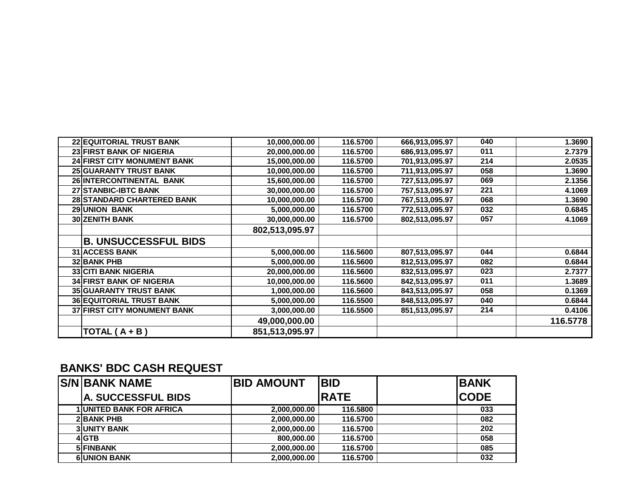| 22 EQUITORIAL TRUST BANK           | 10,000,000.00  | 116.5700 | 666,913,095.97 | 040 | 1.3690   |
|------------------------------------|----------------|----------|----------------|-----|----------|
| 23 FIRST BANK OF NIGERIA           | 20,000,000.00  | 116.5700 | 686,913,095.97 | 011 | 2.7379   |
| <b>24 FIRST CITY MONUMENT BANK</b> | 15,000,000.00  | 116.5700 | 701,913,095.97 | 214 | 2.0535   |
| <b>25 GUARANTY TRUST BANK</b>      | 10,000,000.00  | 116.5700 | 711,913,095.97 | 058 | 1.3690   |
| 26 INTERCONTINENTAL BANK           | 15,600,000.00  | 116,5700 | 727,513,095.97 | 069 | 2.1356   |
| <b>27 STANBIC-IBTC BANK</b>        | 30,000,000.00  | 116.5700 | 757,513,095.97 | 221 | 4.1069   |
| 28 STANDARD CHARTERED BANK         | 10,000,000.00  | 116.5700 | 767,513,095.97 | 068 | 1.3690   |
| <b>29 UNION BANK</b>               | 5,000,000.00   | 116.5700 | 772,513,095.97 | 032 | 0.6845   |
| <b>30 ZENITH BANK</b>              | 30,000,000.00  | 116.5700 | 802,513,095.97 | 057 | 4.1069   |
|                                    | 802,513,095.97 |          |                |     |          |
| <b>B. UNSUCCESSFUL BIDS</b>        |                |          |                |     |          |
| <b>31 ACCESS BANK</b>              | 5,000,000.00   | 116,5600 | 807,513,095.97 | 044 | 0.6844   |
| <b>32 BANK PHB</b>                 | 5,000,000.00   | 116,5600 | 812,513,095.97 | 082 | 0.6844   |
| <b>33 CITI BANK NIGERIA</b>        | 20,000,000.00  | 116.5600 | 832,513,095.97 | 023 | 2.7377   |
| <b>34 FIRST BANK OF NIGERIA</b>    | 10,000,000.00  | 116.5600 | 842,513,095.97 | 011 | 1.3689   |
| <b>35 GUARANTY TRUST BANK</b>      | 1,000,000.00   | 116.5600 | 843,513,095.97 | 058 | 0.1369   |
| <b>36 EQUITORIAL TRUST BANK</b>    | 5,000,000.00   | 116.5500 | 848,513,095.97 | 040 | 0.6844   |
| <b>37 FIRST CITY MONUMENT BANK</b> | 3,000,000.00   | 116.5500 | 851,513,095.97 | 214 | 0.4106   |
|                                    | 49,000,000.00  |          |                |     | 116.5778 |
| TOTAL $(A + B)$                    | 851,513,095.97 |          |                |     |          |

## **BANKS' BDC CASH REQUEST**

| <b>IS/N BANK NAME</b>           | <b>BID AMOUNT</b> | <b>BID</b>  | <b>BANK</b> |
|---------------------------------|-------------------|-------------|-------------|
| <b>IA. SUCCESSFUL BIDS</b>      |                   | <b>RATE</b> | <b>CODE</b> |
| <b>1 UNITED BANK FOR AFRICA</b> | 2,000,000.00      | 116,5800    | 033         |
| <b>2 BANK PHB</b>               | 2,000,000.00      | 116.5700    | 082         |
| <b>3 UNITY BANK</b>             | 2,000,000.00      | 116.5700    | 202         |
| 4 GTB                           | 800,000.00        | 116.5700    | 058         |
| 5 FINBANK                       | 2,000,000.00      | 116,5700    | 085         |
| <b>6UNION BANK</b>              | 2,000,000.00      | 116,5700    | 032         |